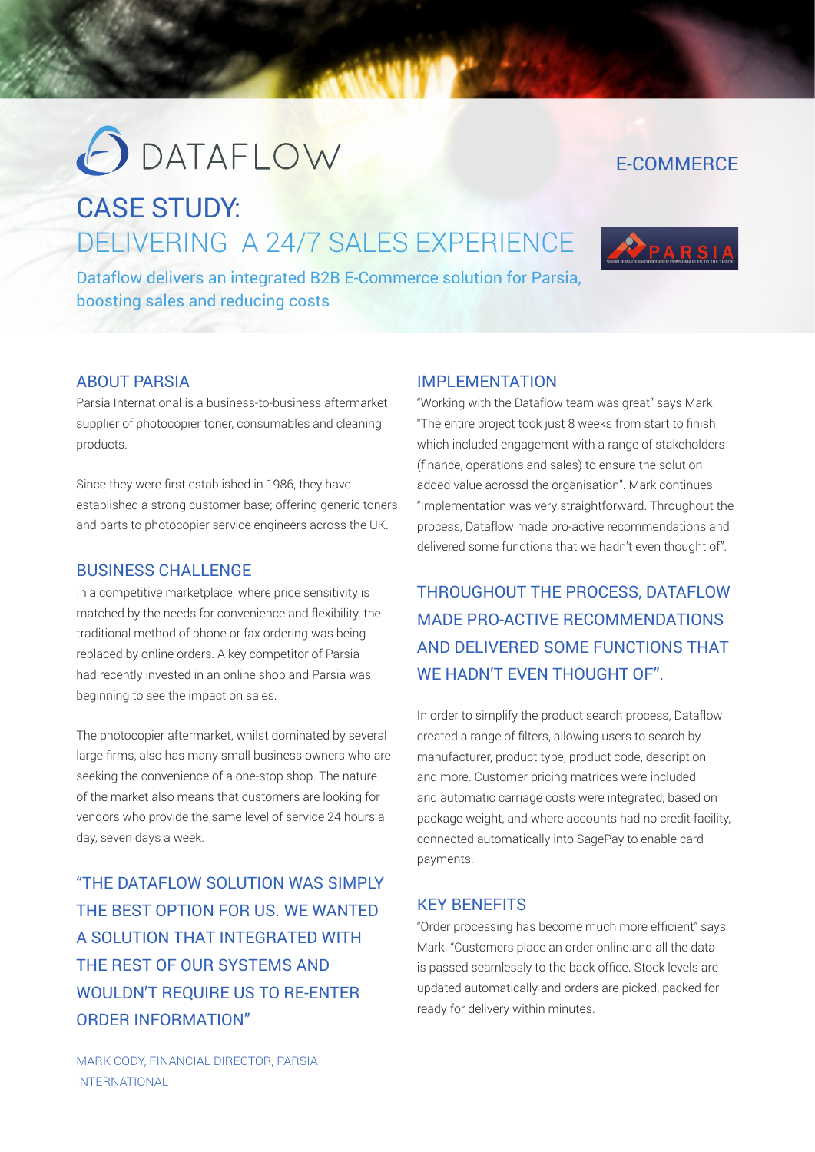# **ODATAFLOW**

## E-COMMERCE

## CASE STUDY: DELIVERING A 24/7 SALES EXPERIENCE



Dataflow delivers an integrated B2B E-Commerce solution for Parsia, boosting sales and reducing costs

### ABOUT PARSIA

Parsia International is a business-to-business aftermarket supplier of photocopier toner, consumables and cleaning products.

Since they were first established in 1986, they have established a strong customer base; offering generic toners and parts to photocopier service engineers across the UK.

#### BUSINESS CHALLENGE

In a competitive marketplace, where price sensitivity is matched by the needs for convenience and flexibility, the traditional method of phone or fax ordering was being replaced by online orders. A key competitor of Parsia had recently invested in an online shop and Parsia was beginning to see the impact on sales.

The photocopier aftermarket, whilst dominated by several large firms, also has many small business owners who are seeking the convenience of a one-stop shop. The nature of the market also means that customers are looking for vendors who provide the same level of service 24 hours a day, seven days a week.

"THE DATAFLOW SOLUTION WAS SIMPLY THE BEST OPTION FOR US. WE WANTED A SOLUTION THAT INTEGRATED WITH THE REST OF OUR SYSTEMS AND WOULDN'T REQUIRE US TO RE-ENTER ORDER INFORMATION"

### IMPI EMENTATION

"Working with the Dataflow team was great" says Mark. "The entire project took just 8 weeks from start to finish, which included engagement with a range of stakeholders (finance, operations and sales) to ensure the solution added value acrossd the organisation". Mark continues: "Implementation was very straightforward. Throughout the process, Dataflow made pro-active recommendations and delivered some functions that we hadn't even thought of".

THROUGHOUT THE PROCESS, DATAFLOW MADE PRO-ACTIVE RECOMMENDATIONS AND DELIVERED SOME FUNCTIONS THAT WE HADN'T EVEN THOUGHT OF".

In order to simplify the product search process, Dataflow created a range of filters, allowing users to search by manufacturer, product type, product code, description and more. Customer pricing matrices were included and automatic carriage costs were integrated, based on package weight, and where accounts had no credit facility, connected automatically into SagePay to enable card payments.

#### KEY BENEFITS

"Order processing has become much more efficient" says Mark. "Customers place an order online and all the data is passed seamlessly to the back office. Stock levels are updated automatically and orders are picked, packed for ready for delivery within minutes.

MARK CODY, FINANCIAL DIRECTOR, PARSIA INTERNATIONAL